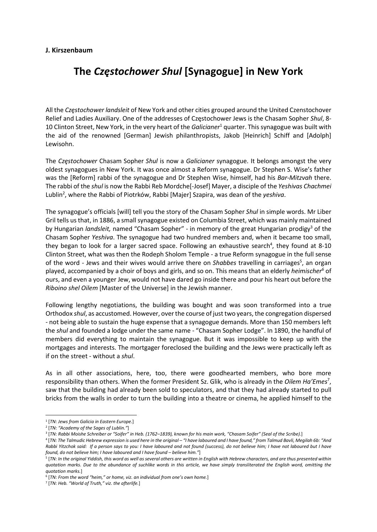## J. Kirszenbaum

## The Częstochower Shul [Synagogue] in New York

All the Czestochower landsleit of New York and other cities grouped around the United Czenstochover Relief and Ladies Auxiliary. One of the addresses of Częstochower Jews is the Chasam Sopher Shul, 8- 10 Clinton Street, New York, in the very heart of the Galicianer<sup>1</sup> quarter. This synagogue was built with the aid of the renowned [German] Jewish philanthropists, Jakob [Heinrich] Schiff and [Adolph] Lewisohn.

The Częstochower Chasam Sopher Shul is now a Galicianer synagogue. It belongs amongst the very oldest synagogues in New York. It was once almost a Reform synagogue. Dr Stephen S. Wise's father was the [Reform] rabbi of the synagogue and Dr Stephen Wise, himself, had his Bar-Mitzvah there. The rabbi of the shul is now the Rabbi Reb Mordche[-Josef] Mayer, a disciple of the Yeshivas Chachmei Lublin<sup>2</sup>, where the Rabbi of Piotrków, Rabbi [Majer] Szapira, was dean of the yeshiva.

The synagogue's officials [will] tell you the story of the Chasam Sopher Shul in simple words. Mr Liber Gril tells us that, in 1886, a small synagogue existed on Columbia Street, which was mainly maintained by Hungarian landsleit, named "Chasam Sopher" - in memory of the great Hungarian prodigy<sup>3</sup> of the Chasam Sopher Yeshiva. The synagogue had two hundred members and, when it became too small, they began to look for a larger sacred space. Following an exhaustive search<sup>4</sup>, they found at 8-10 Clinton Street, what was then the Rodeph Sholom Temple - a true Reform synagogue in the full sense of the word - Jews and their wives would arrive there on Shabbes travelling in carriages<sup>5</sup>, an organ played, accompanied by a choir of boys and girls, and so on. This means that an elderly heimischer<sup>6</sup> of ours, and even a younger Jew, would not have dared go inside there and pour his heart out before the Riboino shel Oilem [Master of the Universe] in the Jewish manner.

Following lengthy negotiations, the building was bought and was soon transformed into a true Orthodox shul, as accustomed. However, over the course of just two years, the congregation dispersed - not being able to sustain the huge expense that a synagogue demands. More than 150 members left the shul and founded a lodge under the same name - "Chasam Sopher Lodge". In 1890, the handful of members did everything to maintain the synagogue. But it was impossible to keep up with the mortgages and interests. The mortgager foreclosed the building and the Jews were practically left as if on the street - without a shul.

As in all other associations, here, too, there were goodhearted members, who bore more responsibility than others. When the former President Sz. Glik, who is already in the Oilem Ha'Emes<sup>7</sup>, saw that the building had already been sold to speculators, and that they had already started to pull bricks from the walls in order to turn the building into a theatre or cinema, he applied himself to the

<sup>&</sup>lt;sup>1</sup> [TN: Jews from Galicia in Eastern Europe.]

<sup>&</sup>lt;sup>2</sup> [TN: "Academy of the Sages of Lublin."]

<sup>3</sup> [TN: Rabbi Moishe Schreiber or "Soifer" in Heb. (1762–1839), known for his main work, "Chasam Soifer" (Seal of the Scribe).]

<sup>4</sup> [TN: The Talmudic Hebrew expression is used here in the original – "I have laboured and I have found," from Talmud Bavli, Megilah 6b: "And Rabbi Yitzchok said: If a person says to you: I have laboured and not found (success), do not believe him; I have not laboured but I have found, do not believe him; I have laboured and I have found – believe him."]

<sup>5</sup> [TN: In the original Yiddish, this word as well as several others are written in English with Hebrew characters, and are thus presented within quotation marks. Due to the abundance of suchlike words in this article, we have simply transliterated the English word, omitting the quotation marks.]

<sup>&</sup>lt;sup>6</sup> [TN: From the word "heim," or home, viz. an individual from one's own home.]

<sup>&</sup>lt;sup>7</sup> [TN: Heb. "World of Truth," viz. the afterlife.]